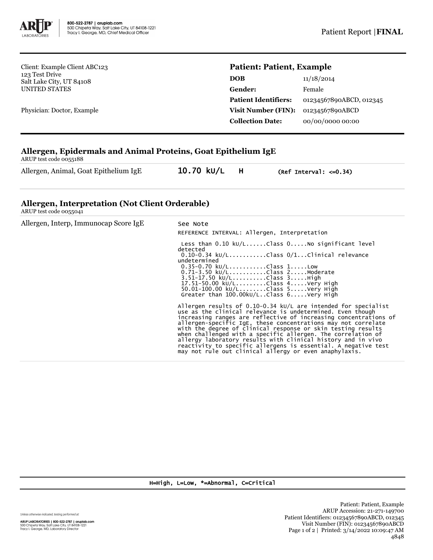

Client: Example Client ABC123 123 Test Drive Salt Lake City, UT 84108 UNITED STATES

Physician: Doctor, Example

## **Patient: Patient, Example**

| 11/18/2014              |
|-------------------------|
| Female                  |
| 01234567890ABCD, 012345 |
| 01234567890ABCD         |
| 00/00/0000 00:00        |
|                         |

## **Allergen, Epidermals and Animal Proteins, Goat Epithelium IgE**

ARUP test code 0055188

Allergen, Animal, Goat Epithelium IgE 10.70 kU/L H (Ref Interval: <= 0.34)

## **Allergen, Interpretation (Not Client Orderable)**

ARUP test code 0055041

| Allergen, Interp, Immunocap Score IgE | See Note<br>REFERENCE INTERVAL: Allergen, Interpretation                                                                                                                                                                                                                                                                                                                                                                                                                                                                                                                                        |
|---------------------------------------|-------------------------------------------------------------------------------------------------------------------------------------------------------------------------------------------------------------------------------------------------------------------------------------------------------------------------------------------------------------------------------------------------------------------------------------------------------------------------------------------------------------------------------------------------------------------------------------------------|
|                                       | Less than $0.10 \text{ kU/L}$ Class $0.100000000000000000000000000$<br>detected<br>$0.10-0.34$ ku/LClass $0/1$ Clinical relevance<br>undetermined<br>$0.35 - 0.70$ kU/LClass 1Low<br>0.71-3.50 kU/LClass 2Moderate<br>$3.51 - 17.50 \text{ kU/L}$ Class $3.$ High<br>17.51-50.00 ku/LClass 4Very High<br>50.01-100.00 ku/LClass 5Very High<br>Greater than $100.00 \text{kU/L}$ Class $6 \ldots$ Very High                                                                                                                                                                                      |
|                                       | Allergen results of $0.10-0.34$ kU/L are intended for specialist<br>use as the clinical relevance is undetermined. Even though<br>increasing ranges are reflective of increasing concentrations of<br>allergen-specific IgE, these concentrations may not correlate<br>with the degree of clinical response or skin testing results<br>when challenged with a specific allergen. The correlation of<br>allergy laboratory results with clinical history and in vivo<br>reactivity to specific allergens is essential. A negative test<br>may not rule out clinical allergy or even anaphylaxis. |

H=High, L=Low, \*=Abnormal, C=Critical

Unless otherwise indicated, testing performed at: